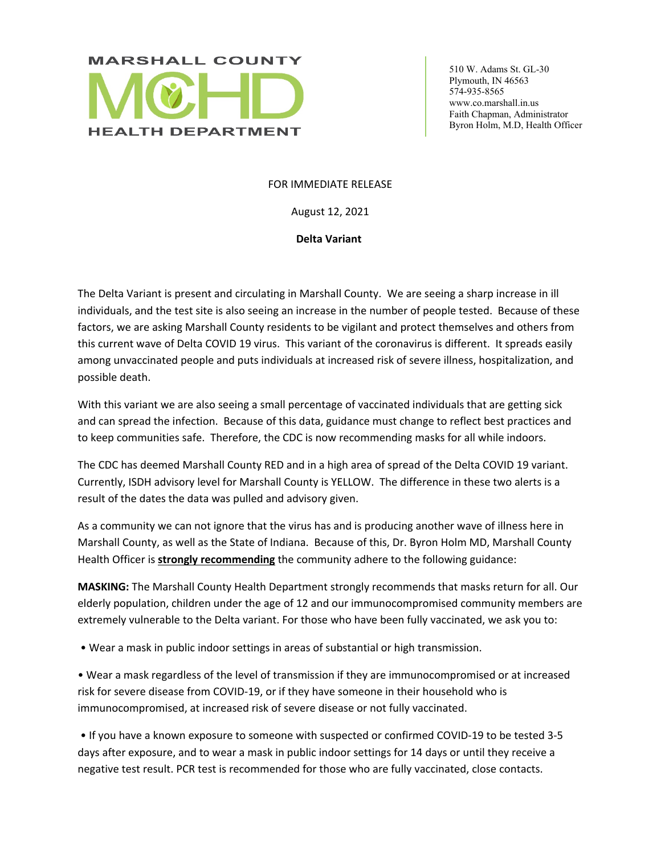

 510 W. Adams St. GL-30 Plymouth, IN 46563 574-935-8565 www.co.marshall.in.us Faith Chapman, Administrator Byron Holm, M.D, Health Officer

## FOR IMMEDIATE RELEASE

August 12, 2021

**Delta Variant** 

The Delta Variant is present and circulating in Marshall County. We are seeing a sharp increase in ill individuals, and the test site is also seeing an increase in the number of people tested. Because of these factors, we are asking Marshall County residents to be vigilant and protect themselves and others from this current wave of Delta COVID 19 virus. This variant of the coronavirus is different. It spreads easily among unvaccinated people and puts individuals at increased risk of severe illness, hospitalization, and possible death.

With this variant we are also seeing a small percentage of vaccinated individuals that are getting sick and can spread the infection. Because of this data, guidance must change to reflect best practices and to keep communities safe. Therefore, the CDC is now recommending masks for all while indoors.

The CDC has deemed Marshall County RED and in a high area of spread of the Delta COVID 19 variant. Currently, ISDH advisory level for Marshall County is YELLOW. The difference in these two alerts is a result of the dates the data was pulled and advisory given.

As a community we can not ignore that the virus has and is producing another wave of illness here in Marshall County, as well as the State of Indiana. Because of this, Dr. Byron Holm MD, Marshall County Health Officer is **strongly recommending** the community adhere to the following guidance:

**MASKING:** The Marshall County Health Department strongly recommends that masks return for all. Our elderly population, children under the age of 12 and our immunocompromised community members are extremely vulnerable to the Delta variant. For those who have been fully vaccinated, we ask you to:

• Wear a mask in public indoor settings in areas of substantial or high transmission.

• Wear a mask regardless of the level of transmission if they are immunocompromised or at increased risk for severe disease from COVID-19, or if they have someone in their household who is immunocompromised, at increased risk of severe disease or not fully vaccinated.

 • If you have a known exposure to someone with suspected or confirmed COVID-19 to be tested 3-5 days after exposure, and to wear a mask in public indoor settings for 14 days or until they receive a negative test result. PCR test is recommended for those who are fully vaccinated, close contacts.